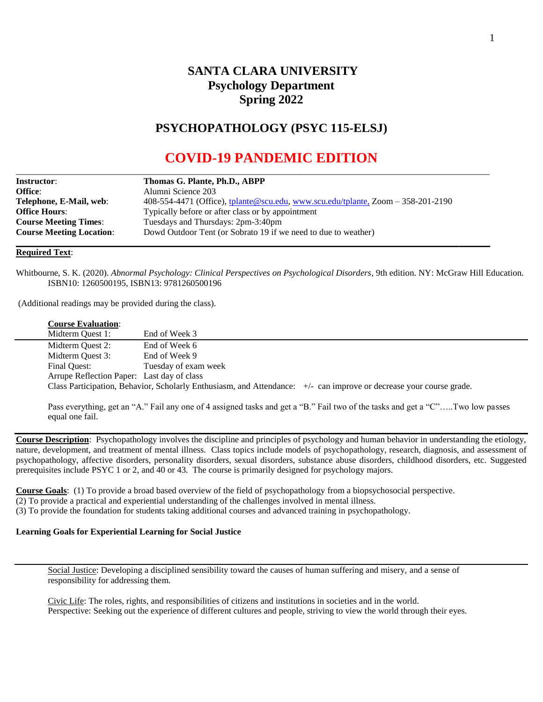# **SANTA CLARA UNIVERSITY Psychology Department Spring 2022**

## **PSYCHOPATHOLOGY (PSYC 115-ELSJ)**

# **COVID-19 PANDEMIC EDITION**

| <b>Instructor:</b>              | Thomas G. Plante, Ph.D., ABPP                                                       |  |
|---------------------------------|-------------------------------------------------------------------------------------|--|
| <b>Office:</b>                  | Alumni Science 203                                                                  |  |
| Telephone, E-Mail, web:         | $408-554-4471$ (Office), tplante@scu.edu, www.scu.edu/tplante, Zoom $-358-201-2190$ |  |
| <b>Office Hours:</b>            | Typically before or after class or by appointment                                   |  |
| <b>Course Meeting Times:</b>    | Tuesdays and Thursdays: 2pm-3:40pm                                                  |  |
| <b>Course Meeting Location:</b> | Dowd Outdoor Tent (or Sobrato 19 if we need to due to weather)                      |  |

#### **Required Text**:

Whitbourne, S. K. (2020). *Abnormal Psychology: Clinical Perspectives on Psychological Disorders*, 9th edition. NY: McGraw Hill Education. ISBN10: 1260500195, ISBN13: 9781260500196

(Additional readings may be provided during the class).

### **Course Evaluation**:

| Midterm Quest 1:                           | End of Week 3        |                                                                                                                     |  |  |
|--------------------------------------------|----------------------|---------------------------------------------------------------------------------------------------------------------|--|--|
| Midterm Quest 2:                           | End of Week 6        |                                                                                                                     |  |  |
| Midterm Quest 3:                           | End of Week 9        |                                                                                                                     |  |  |
| Final Ouest:                               | Tuesday of exam week |                                                                                                                     |  |  |
| Arrupe Reflection Paper: Last day of class |                      |                                                                                                                     |  |  |
|                                            |                      | Class Participation, Behavior, Scholarly Enthusiasm, and Attendance: +/- can improve or decrease your course grade. |  |  |
|                                            |                      |                                                                                                                     |  |  |

Pass everything, get an "A." Fail any one of 4 assigned tasks and get a "B." Fail two of the tasks and get a "C"…..Two low passes equal one fail.

**Course Description**: Psychopathology involves the discipline and principles of psychology and human behavior in understanding the etiology, nature, development, and treatment of mental illness. Class topics include models of psychopathology, research, diagnosis, and assessment of psychopathology, affective disorders, personality disorders, sexual disorders, substance abuse disorders, childhood disorders, etc. Suggested prerequisites include PSYC 1 or 2, and 40 or 43. The course is primarily designed for psychology majors.

**Course Goals**: (1) To provide a broad based overview of the field of psychopathology from a biopsychosocial perspective.

(2) To provide a practical and experiential understanding of the challenges involved in mental illness.

(3) To provide the foundation for students taking additional courses and advanced training in psychopathology.

## **Learning Goals for Experiential Learning for Social Justice**

Social Justice: Developing a disciplined sensibility toward the causes of human suffering and misery, and a sense of responsibility for addressing them.

Civic Life: The roles, rights, and responsibilities of citizens and institutions in societies and in the world. Perspective: Seeking out the experience of different cultures and people, striving to view the world through their eyes.